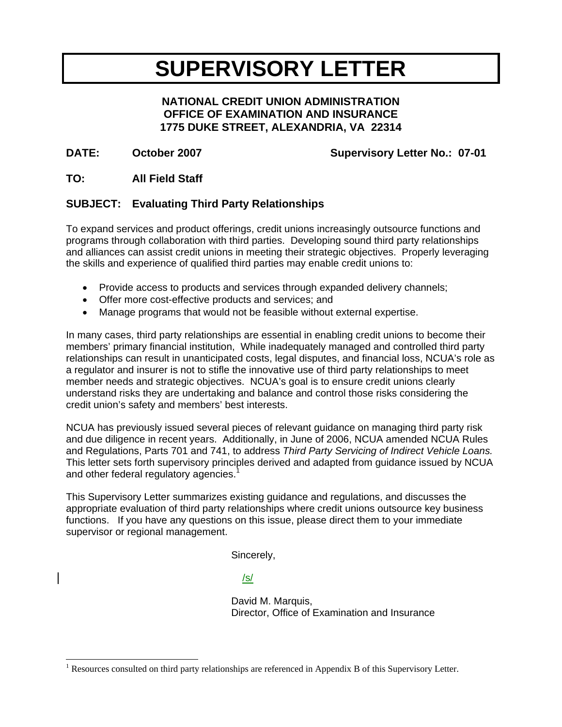# **SUPERVISORY LETTER**

#### **NATIONAL CREDIT UNION ADMINISTRATION OFFICE OF EXAMINATION AND INSURANCE 1775 DUKE STREET, ALEXANDRIA, VA 22314**

#### DATE: October 2007 Supervisory Letter No.: 07-01

#### **TO: All Field Staff**

 $\overline{a}$ 

#### **SUBJECT: Evaluating Third Party Relationships**

To expand services and product offerings, credit unions increasingly outsource functions and programs through collaboration with third parties. Developing sound third party relationships and alliances can assist credit unions in meeting their strategic objectives. Properly leveraging the skills and experience of qualified third parties may enable credit unions to:

- Provide access to products and services through expanded delivery channels;
- Offer more cost-effective products and services; and
- Manage programs that would not be feasible without external expertise.

In many cases, third party relationships are essential in enabling credit unions to become their members' primary financial institution, While inadequately managed and controlled third party relationships can result in unanticipated costs, legal disputes, and financial loss, NCUA's role as a regulator and insurer is not to stifle the innovative use of third party relationships to meet member needs and strategic objectives. NCUA's goal is to ensure credit unions clearly understand risks they are undertaking and balance and control those risks considering the credit union's safety and members' best interests.

NCUA has previously issued several pieces of relevant guidance on managing third party risk and due diligence in recent years. Additionally, in June of 2006, NCUA amended NCUA Rules and Regulations, Parts 701 and 741, to address *Third Party Servicing of Indirect Vehicle Loans.* This letter sets forth supervisory principles derived and adapted from guidance issued by NCUA and other federal regulatory agencies.<sup>1</sup>

This Supervisory Letter summarizes existing guidance and regulations, and discusses the appropriate evaluation of third party relationships where credit unions outsource key business functions. If you have any questions on this issue, please direct them to your immediate supervisor or regional management.

Sincerely,

/s/

 David M. Marquis, Director, Office of Examination and Insurance

<sup>&</sup>lt;sup>1</sup> Resources consulted on third party relationships are referenced in Appendix B of this Supervisory Letter.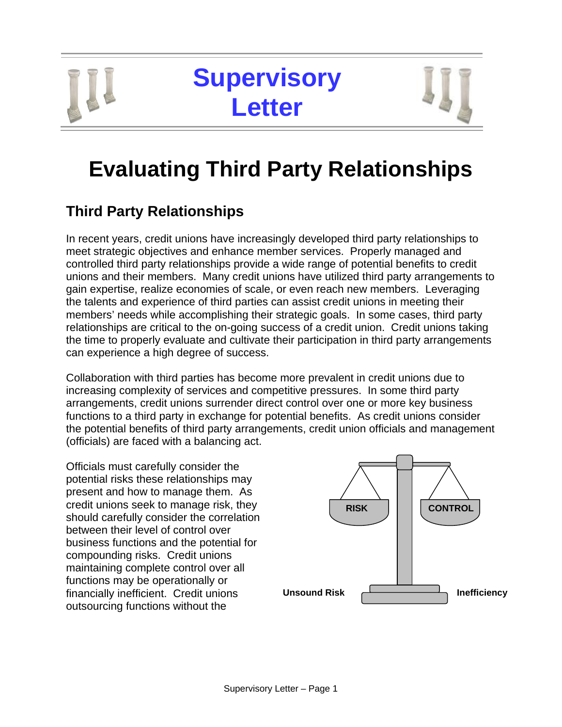# **Supervisory Letter**



# **Evaluating Third Party Relationships**

# **Third Party Relationships**

In recent years, credit unions have increasingly developed third party relationships to meet strategic objectives and enhance member services. Properly managed and controlled third party relationships provide a wide range of potential benefits to credit unions and their members. Many credit unions have utilized third party arrangements to gain expertise, realize economies of scale, or even reach new members. Leveraging the talents and experience of third parties can assist credit unions in meeting their members' needs while accomplishing their strategic goals. In some cases, third party relationships are critical to the on-going success of a credit union. Credit unions taking the time to properly evaluate and cultivate their participation in third party arrangements can experience a high degree of success.

Collaboration with third parties has become more prevalent in credit unions due to increasing complexity of services and competitive pressures. In some third party arrangements, credit unions surrender direct control over one or more key business functions to a third party in exchange for potential benefits. As credit unions consider the potential benefits of third party arrangements, credit union officials and management (officials) are faced with a balancing act.

Officials must carefully consider the potential risks these relationships may present and how to manage them. As credit unions seek to manage risk, they should carefully consider the correlation between their level of control over business functions and the potential for compounding risks. Credit unions maintaining complete control over all functions may be operationally or financially inefficient. Credit unions outsourcing functions without the

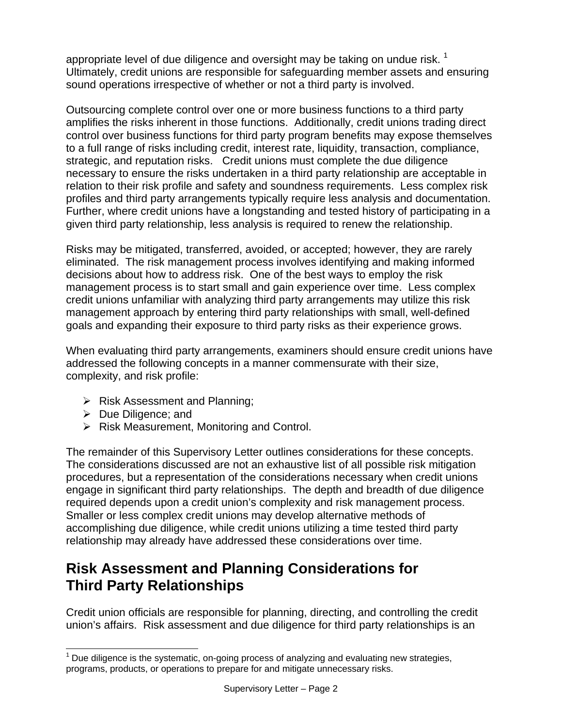appropriate level of due diligence and oversight may be taking on undue risk.  $1$ Ultimately, credit unions are responsible for safeguarding member assets and ensuring sound operations irrespective of whether or not a third party is involved.

Outsourcing complete control over one or more business functions to a third party amplifies the risks inherent in those functions. Additionally, credit unions trading direct control over business functions for third party program benefits may expose themselves to a full range of risks including credit, interest rate, liquidity, transaction, compliance, strategic, and reputation risks. Credit unions must complete the due diligence necessary to ensure the risks undertaken in a third party relationship are acceptable in relation to their risk profile and safety and soundness requirements. Less complex risk profiles and third party arrangements typically require less analysis and documentation. Further, where credit unions have a longstanding and tested history of participating in a given third party relationship, less analysis is required to renew the relationship.

Risks may be mitigated, transferred, avoided, or accepted; however, they are rarely eliminated. The risk management process involves identifying and making informed decisions about how to address risk. One of the best ways to employ the risk management process is to start small and gain experience over time. Less complex credit unions unfamiliar with analyzing third party arrangements may utilize this risk management approach by entering third party relationships with small, well-defined goals and expanding their exposure to third party risks as their experience grows.

When evaluating third party arrangements, examiners should ensure credit unions have addressed the following concepts in a manner commensurate with their size, complexity, and risk profile:

- $\triangleright$  Risk Assessment and Planning;
- $\triangleright$  Due Diligence; and

 $\overline{\phantom{a}}$ 

 $\triangleright$  Risk Measurement, Monitoring and Control.

The remainder of this Supervisory Letter outlines considerations for these concepts. The considerations discussed are not an exhaustive list of all possible risk mitigation procedures, but a representation of the considerations necessary when credit unions engage in significant third party relationships. The depth and breadth of due diligence required depends upon a credit union's complexity and risk management process. Smaller or less complex credit unions may develop alternative methods of accomplishing due diligence, while credit unions utilizing a time tested third party relationship may already have addressed these considerations over time.

## **Risk Assessment and Planning Considerations for Third Party Relationships**

Credit union officials are responsible for planning, directing, and controlling the credit union's affairs. Risk assessment and due diligence for third party relationships is an

 $<sup>1</sup>$  Due diligence is the systematic, on-going process of analyzing and evaluating new strategies,</sup> programs, products, or operations to prepare for and mitigate unnecessary risks.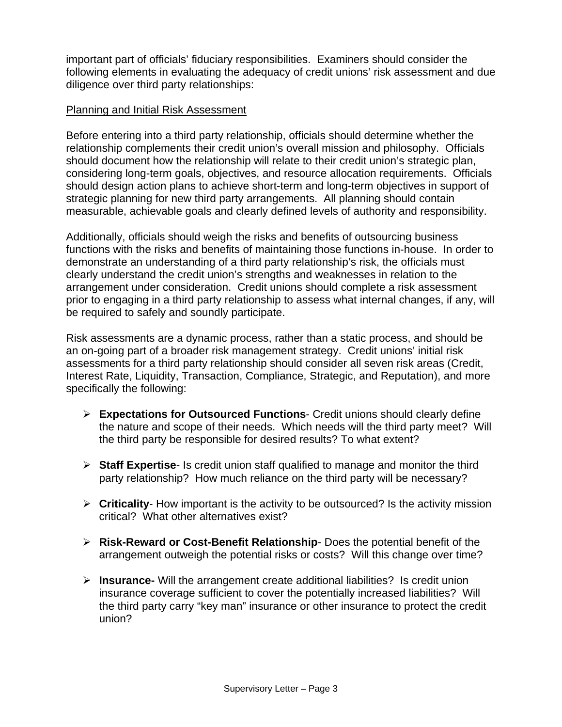important part of officials' fiduciary responsibilities. Examiners should consider the following elements in evaluating the adequacy of credit unions' risk assessment and due diligence over third party relationships:

#### Planning and Initial Risk Assessment

Before entering into a third party relationship, officials should determine whether the relationship complements their credit union's overall mission and philosophy. Officials should document how the relationship will relate to their credit union's strategic plan, considering long-term goals, objectives, and resource allocation requirements. Officials should design action plans to achieve short-term and long-term objectives in support of strategic planning for new third party arrangements. All planning should contain measurable, achievable goals and clearly defined levels of authority and responsibility.

Additionally, officials should weigh the risks and benefits of outsourcing business functions with the risks and benefits of maintaining those functions in-house. In order to demonstrate an understanding of a third party relationship's risk, the officials must clearly understand the credit union's strengths and weaknesses in relation to the arrangement under consideration. Credit unions should complete a risk assessment prior to engaging in a third party relationship to assess what internal changes, if any, will be required to safely and soundly participate.

Risk assessments are a dynamic process, rather than a static process, and should be an on-going part of a broader risk management strategy. Credit unions' initial risk assessments for a third party relationship should consider all seven risk areas (Credit, Interest Rate, Liquidity, Transaction, Compliance, Strategic, and Reputation), and more specifically the following:

- ¾ **Expectations for Outsourced Functions** Credit unions should clearly define the nature and scope of their needs. Which needs will the third party meet? Will the third party be responsible for desired results? To what extent?
- ¾ **Staff Expertise** Is credit union staff qualified to manage and monitor the third party relationship? How much reliance on the third party will be necessary?
- ¾ **Criticality** How important is the activity to be outsourced? Is the activity mission critical? What other alternatives exist?
- ¾ **Risk-Reward or Cost-Benefit Relationship** Does the potential benefit of the arrangement outweigh the potential risks or costs? Will this change over time?
- ¾ **Insurance-** Will the arrangement create additional liabilities? Is credit union insurance coverage sufficient to cover the potentially increased liabilities? Will the third party carry "key man" insurance or other insurance to protect the credit union?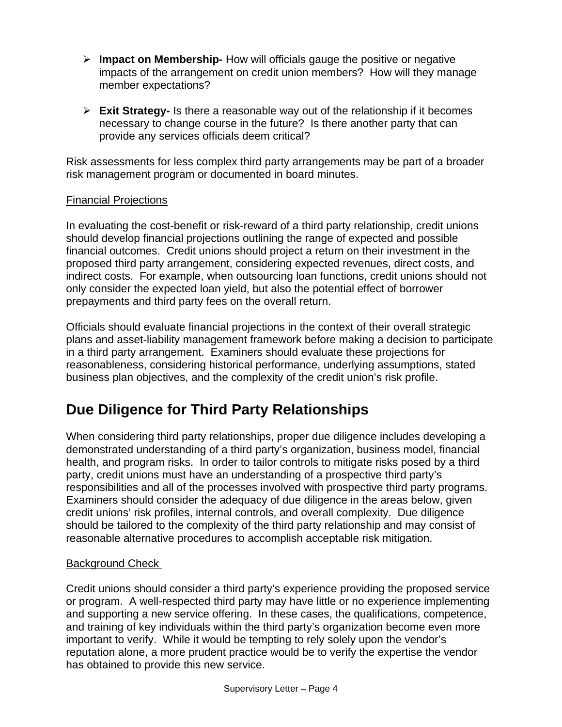- ¾ **Impact on Membership-** How will officials gauge the positive or negative impacts of the arrangement on credit union members? How will they manage member expectations?
- ¾ **Exit Strategy-** Is there a reasonable way out of the relationship if it becomes necessary to change course in the future? Is there another party that can provide any services officials deem critical?

Risk assessments for less complex third party arrangements may be part of a broader risk management program or documented in board minutes.

#### Financial Projections

In evaluating the cost-benefit or risk-reward of a third party relationship, credit unions should develop financial projections outlining the range of expected and possible financial outcomes. Credit unions should project a return on their investment in the proposed third party arrangement, considering expected revenues, direct costs, and indirect costs. For example, when outsourcing loan functions, credit unions should not only consider the expected loan yield, but also the potential effect of borrower prepayments and third party fees on the overall return.

Officials should evaluate financial projections in the context of their overall strategic plans and asset-liability management framework before making a decision to participate in a third party arrangement. Examiners should evaluate these projections for reasonableness, considering historical performance, underlying assumptions, stated business plan objectives, and the complexity of the credit union's risk profile.

# **Due Diligence for Third Party Relationships**

When considering third party relationships, proper due diligence includes developing a demonstrated understanding of a third party's organization, business model, financial health, and program risks. In order to tailor controls to mitigate risks posed by a third party, credit unions must have an understanding of a prospective third party's responsibilities and all of the processes involved with prospective third party programs. Examiners should consider the adequacy of due diligence in the areas below, given credit unions' risk profiles, internal controls, and overall complexity. Due diligence should be tailored to the complexity of the third party relationship and may consist of reasonable alternative procedures to accomplish acceptable risk mitigation.

#### Background Check

Credit unions should consider a third party's experience providing the proposed service or program. A well-respected third party may have little or no experience implementing and supporting a new service offering. In these cases, the qualifications, competence, and training of key individuals within the third party's organization become even more important to verify. While it would be tempting to rely solely upon the vendor's reputation alone, a more prudent practice would be to verify the expertise the vendor has obtained to provide this new service.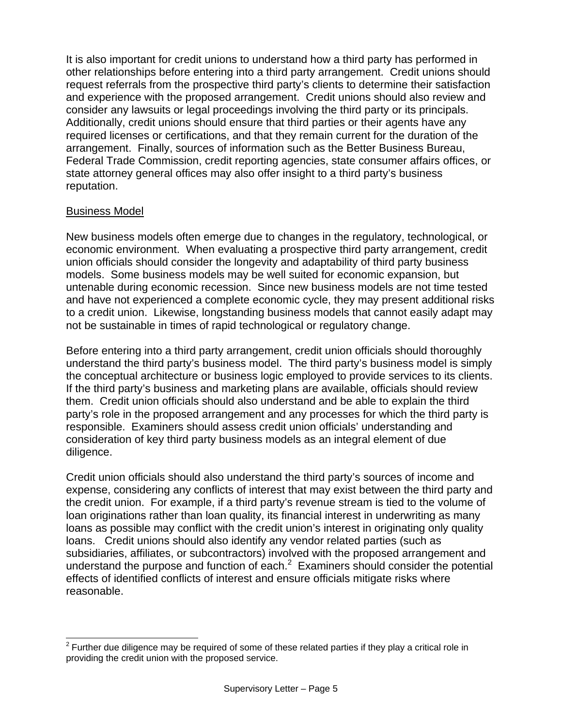It is also important for credit unions to understand how a third party has performed in other relationships before entering into a third party arrangement. Credit unions should request referrals from the prospective third party's clients to determine their satisfaction and experience with the proposed arrangement. Credit unions should also review and consider any lawsuits or legal proceedings involving the third party or its principals. Additionally, credit unions should ensure that third parties or their agents have any required licenses or certifications, and that they remain current for the duration of the arrangement. Finally, sources of information such as the Better Business Bureau, Federal Trade Commission, credit reporting agencies, state consumer affairs offices, or state attorney general offices may also offer insight to a third party's business reputation.

#### Business Model

New business models often emerge due to changes in the regulatory, technological, or economic environment. When evaluating a prospective third party arrangement, credit union officials should consider the longevity and adaptability of third party business models. Some business models may be well suited for economic expansion, but untenable during economic recession. Since new business models are not time tested and have not experienced a complete economic cycle, they may present additional risks to a credit union. Likewise, longstanding business models that cannot easily adapt may not be sustainable in times of rapid technological or regulatory change.

Before entering into a third party arrangement, credit union officials should thoroughly understand the third party's business model. The third party's business model is simply the conceptual architecture or business logic employed to provide services to its clients. If the third party's business and marketing plans are available, officials should review them. Credit union officials should also understand and be able to explain the third party's role in the proposed arrangement and any processes for which the third party is responsible. Examiners should assess credit union officials' understanding and consideration of key third party business models as an integral element of due diligence.

Credit union officials should also understand the third party's sources of income and expense, considering any conflicts of interest that may exist between the third party and the credit union. For example, if a third party's revenue stream is tied to the volume of loan originations rather than loan quality, its financial interest in underwriting as many loans as possible may conflict with the credit union's interest in originating only quality loans. Credit unions should also identify any vendor related parties (such as subsidiaries, affiliates, or subcontractors) involved with the proposed arrangement and understand the purpose and function of each. $2$  Examiners should consider the potential effects of identified conflicts of interest and ensure officials mitigate risks where reasonable.

 $\overline{a}$  $2$  Further due diligence may be required of some of these related parties if they play a critical role in providing the credit union with the proposed service.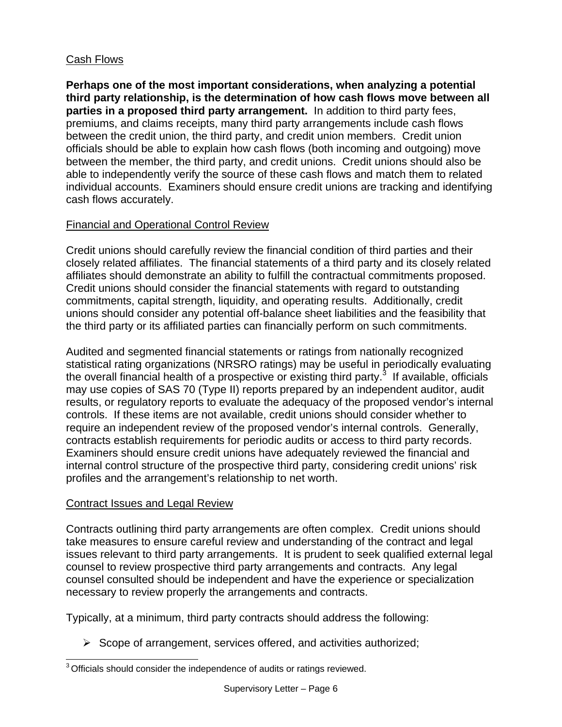### Cash Flows

**Perhaps one of the most important considerations, when analyzing a potential third party relationship, is the determination of how cash flows move between all parties in a proposed third party arrangement.** In addition to third party fees, premiums, and claims receipts, many third party arrangements include cash flows between the credit union, the third party, and credit union members. Credit union officials should be able to explain how cash flows (both incoming and outgoing) move between the member, the third party, and credit unions. Credit unions should also be able to independently verify the source of these cash flows and match them to related individual accounts. Examiners should ensure credit unions are tracking and identifying cash flows accurately.

### Financial and Operational Control Review

Credit unions should carefully review the financial condition of third parties and their closely related affiliates. The financial statements of a third party and its closely related affiliates should demonstrate an ability to fulfill the contractual commitments proposed. Credit unions should consider the financial statements with regard to outstanding commitments, capital strength, liquidity, and operating results. Additionally, credit unions should consider any potential off-balance sheet liabilities and the feasibility that the third party or its affiliated parties can financially perform on such commitments.

Audited and segmented financial statements or ratings from nationally recognized statistical rating organizations (NRSRO ratings) may be useful in periodically evaluating the overall financial health of a prospective or existing third party.<sup>3</sup> If available, officials may use copies of SAS 70 (Type II) reports prepared by an independent auditor, audit results, or regulatory reports to evaluate the adequacy of the proposed vendor's internal controls. If these items are not available, credit unions should consider whether to require an independent review of the proposed vendor's internal controls. Generally, contracts establish requirements for periodic audits or access to third party records. Examiners should ensure credit unions have adequately reviewed the financial and internal control structure of the prospective third party, considering credit unions' risk profiles and the arrangement's relationship to net worth.

### Contract Issues and Legal Review

Contracts outlining third party arrangements are often complex. Credit unions should take measures to ensure careful review and understanding of the contract and legal issues relevant to third party arrangements. It is prudent to seek qualified external legal counsel to review prospective third party arrangements and contracts. Any legal counsel consulted should be independent and have the experience or specialization necessary to review properly the arrangements and contracts.

Typically, at a minimum, third party contracts should address the following:

 $\triangleright$  Scope of arrangement, services offered, and activities authorized;

 $\overline{a}$  $3$  Officials should consider the independence of audits or ratings reviewed.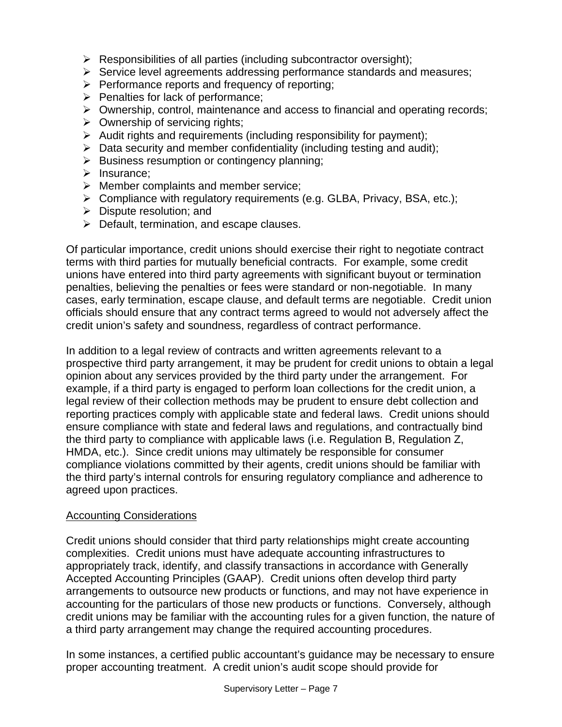- $\triangleright$  Responsibilities of all parties (including subcontractor oversight);
- $\triangleright$  Service level agreements addressing performance standards and measures;
- $\triangleright$  Performance reports and frequency of reporting;
- $\triangleright$  Penalties for lack of performance;
- ¾ Ownership, control, maintenance and access to financial and operating records;
- $\triangleright$  Ownership of servicing rights;
- $\triangleright$  Audit rights and requirements (including responsibility for payment);
- $\triangleright$  Data security and member confidentiality (including testing and audit);
- $\triangleright$  Business resumption or contingency planning;
- $\triangleright$  Insurance:
- $\triangleright$  Member complaints and member service;
- $\triangleright$  Compliance with regulatory requirements (e.g. GLBA, Privacy, BSA, etc.);
- $\triangleright$  Dispute resolution; and
- $\triangleright$  Default, termination, and escape clauses.

Of particular importance, credit unions should exercise their right to negotiate contract terms with third parties for mutually beneficial contracts. For example, some credit unions have entered into third party agreements with significant buyout or termination penalties, believing the penalties or fees were standard or non-negotiable. In many cases, early termination, escape clause, and default terms are negotiable. Credit union officials should ensure that any contract terms agreed to would not adversely affect the credit union's safety and soundness, regardless of contract performance.

In addition to a legal review of contracts and written agreements relevant to a prospective third party arrangement, it may be prudent for credit unions to obtain a legal opinion about any services provided by the third party under the arrangement. For example, if a third party is engaged to perform loan collections for the credit union, a legal review of their collection methods may be prudent to ensure debt collection and reporting practices comply with applicable state and federal laws. Credit unions should ensure compliance with state and federal laws and regulations, and contractually bind the third party to compliance with applicable laws (i.e. Regulation B, Regulation Z, HMDA, etc.). Since credit unions may ultimately be responsible for consumer compliance violations committed by their agents, credit unions should be familiar with the third party's internal controls for ensuring regulatory compliance and adherence to agreed upon practices.

### Accounting Considerations

Credit unions should consider that third party relationships might create accounting complexities. Credit unions must have adequate accounting infrastructures to appropriately track, identify, and classify transactions in accordance with Generally Accepted Accounting Principles (GAAP). Credit unions often develop third party arrangements to outsource new products or functions, and may not have experience in accounting for the particulars of those new products or functions. Conversely, although credit unions may be familiar with the accounting rules for a given function, the nature of a third party arrangement may change the required accounting procedures.

In some instances, a certified public accountant's guidance may be necessary to ensure proper accounting treatment. A credit union's audit scope should provide for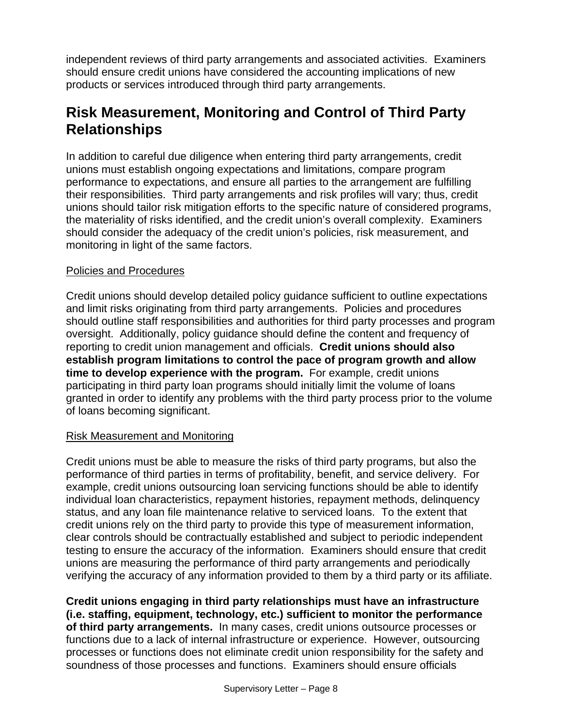independent reviews of third party arrangements and associated activities. Examiners should ensure credit unions have considered the accounting implications of new products or services introduced through third party arrangements.

## **Risk Measurement, Monitoring and Control of Third Party Relationships**

In addition to careful due diligence when entering third party arrangements, credit unions must establish ongoing expectations and limitations, compare program performance to expectations, and ensure all parties to the arrangement are fulfilling their responsibilities. Third party arrangements and risk profiles will vary; thus, credit unions should tailor risk mitigation efforts to the specific nature of considered programs, the materiality of risks identified, and the credit union's overall complexity. Examiners should consider the adequacy of the credit union's policies, risk measurement, and monitoring in light of the same factors.

#### Policies and Procedures

Credit unions should develop detailed policy guidance sufficient to outline expectations and limit risks originating from third party arrangements. Policies and procedures should outline staff responsibilities and authorities for third party processes and program oversight. Additionally, policy guidance should define the content and frequency of reporting to credit union management and officials. **Credit unions should also establish program limitations to control the pace of program growth and allow time to develop experience with the program.** For example, credit unions participating in third party loan programs should initially limit the volume of loans granted in order to identify any problems with the third party process prior to the volume of loans becoming significant.

#### Risk Measurement and Monitoring

Credit unions must be able to measure the risks of third party programs, but also the performance of third parties in terms of profitability, benefit, and service delivery. For example, credit unions outsourcing loan servicing functions should be able to identify individual loan characteristics, repayment histories, repayment methods, delinquency status, and any loan file maintenance relative to serviced loans. To the extent that credit unions rely on the third party to provide this type of measurement information, clear controls should be contractually established and subject to periodic independent testing to ensure the accuracy of the information. Examiners should ensure that credit unions are measuring the performance of third party arrangements and periodically verifying the accuracy of any information provided to them by a third party or its affiliate.

**Credit unions engaging in third party relationships must have an infrastructure (i.e. staffing, equipment, technology, etc.) sufficient to monitor the performance of third party arrangements.** In many cases, credit unions outsource processes or functions due to a lack of internal infrastructure or experience. However, outsourcing processes or functions does not eliminate credit union responsibility for the safety and soundness of those processes and functions. Examiners should ensure officials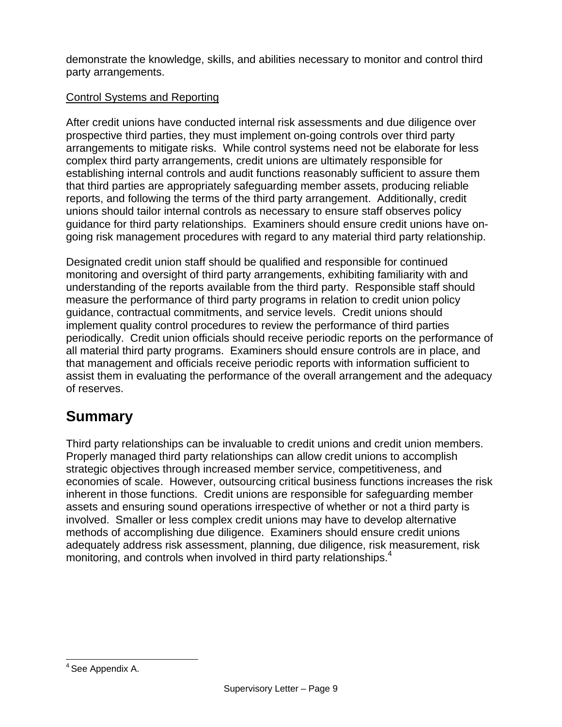demonstrate the knowledge, skills, and abilities necessary to monitor and control third party arrangements.

### Control Systems and Reporting

After credit unions have conducted internal risk assessments and due diligence over prospective third parties, they must implement on-going controls over third party arrangements to mitigate risks. While control systems need not be elaborate for less complex third party arrangements, credit unions are ultimately responsible for establishing internal controls and audit functions reasonably sufficient to assure them that third parties are appropriately safeguarding member assets, producing reliable reports, and following the terms of the third party arrangement. Additionally, credit unions should tailor internal controls as necessary to ensure staff observes policy guidance for third party relationships. Examiners should ensure credit unions have ongoing risk management procedures with regard to any material third party relationship.

Designated credit union staff should be qualified and responsible for continued monitoring and oversight of third party arrangements, exhibiting familiarity with and understanding of the reports available from the third party. Responsible staff should measure the performance of third party programs in relation to credit union policy guidance, contractual commitments, and service levels. Credit unions should implement quality control procedures to review the performance of third parties periodically. Credit union officials should receive periodic reports on the performance of all material third party programs. Examiners should ensure controls are in place, and that management and officials receive periodic reports with information sufficient to assist them in evaluating the performance of the overall arrangement and the adequacy of reserves.

### **Summary**

Third party relationships can be invaluable to credit unions and credit union members. Properly managed third party relationships can allow credit unions to accomplish strategic objectives through increased member service, competitiveness, and economies of scale. However, outsourcing critical business functions increases the risk inherent in those functions. Credit unions are responsible for safeguarding member assets and ensuring sound operations irrespective of whether or not a third party is involved. Smaller or less complex credit unions may have to develop alternative methods of accomplishing due diligence. Examiners should ensure credit unions adequately address risk assessment, planning, due diligence, risk measurement, risk monitoring, and controls when involved in third party relationships.<sup>4</sup>

 $\overline{a}$ <sup>4</sup> See Appendix A.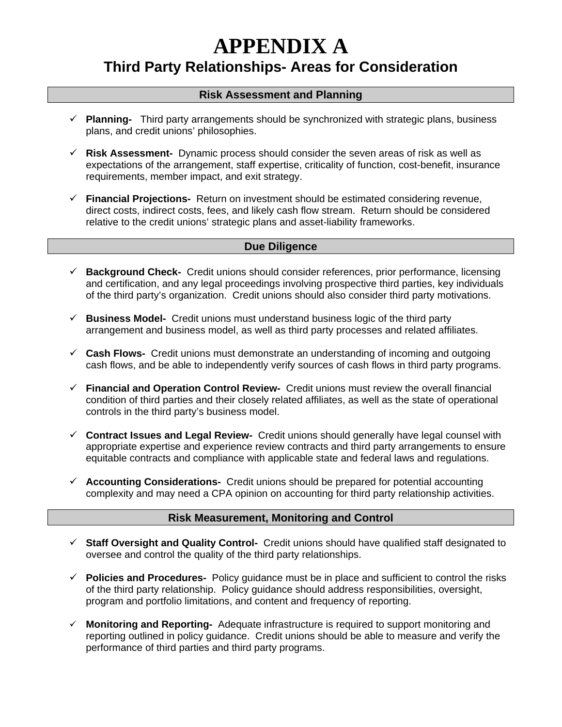# **APPENDIX A**

### **Third Party Relationships- Areas for Consideration**

#### **Risk Assessment and Planning**

- 9 **Planning-** Third party arrangements should be synchronized with strategic plans, business plans, and credit unions' philosophies.
- $\checkmark$  Risk Assessment- Dynamic process should consider the seven areas of risk as well as expectations of the arrangement, staff expertise, criticality of function, cost-benefit, insurance requirements, member impact, and exit strategy.
- 9 **Financial Projections-** Return on investment should be estimated considering revenue, direct costs, indirect costs, fees, and likely cash flow stream. Return should be considered relative to the credit unions' strategic plans and asset-liability frameworks.

#### **Due Diligence**

- 9 **Background Check-** Credit unions should consider references, prior performance, licensing and certification, and any legal proceedings involving prospective third parties, key individuals of the third party's organization. Credit unions should also consider third party motivations.
- $\checkmark$  **Business Model-** Credit unions must understand business logic of the third party arrangement and business model, as well as third party processes and related affiliates.
- 9 **Cash Flows-** Credit unions must demonstrate an understanding of incoming and outgoing cash flows, and be able to independently verify sources of cash flows in third party programs.
- 9 **Financial and Operation Control Review-** Credit unions must review the overall financial condition of third parties and their closely related affiliates, as well as the state of operational controls in the third party's business model.
- 9 **Contract Issues and Legal Review-** Credit unions should generally have legal counsel with appropriate expertise and experience review contracts and third party arrangements to ensure equitable contracts and compliance with applicable state and federal laws and regulations.
- 9 **Accounting Considerations-** Credit unions should be prepared for potential accounting complexity and may need a CPA opinion on accounting for third party relationship activities.

#### **Risk Measurement, Monitoring and Control**

- 9 **Staff Oversight and Quality Control-** Credit unions should have qualified staff designated to oversee and control the quality of the third party relationships.
- 9 **Policies and Procedures-** Policy guidance must be in place and sufficient to control the risks of the third party relationship. Policy guidance should address responsibilities, oversight, program and portfolio limitations, and content and frequency of reporting.
- 9 **Monitoring and Reporting-** Adequate infrastructure is required to support monitoring and reporting outlined in policy guidance. Credit unions should be able to measure and verify the performance of third parties and third party programs.